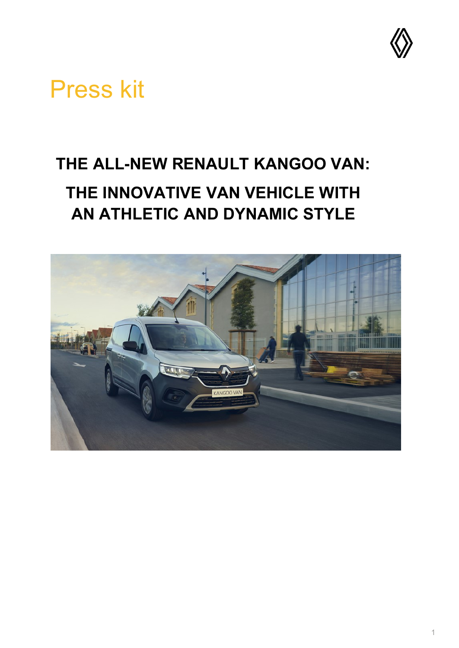

# Press kit

# **THE ALL-NEW RENAULT KANGOO VAN: THE INNOVATIVE VAN VEHICLE WITH AN ATHLETIC AND DYNAMIC STYLE**

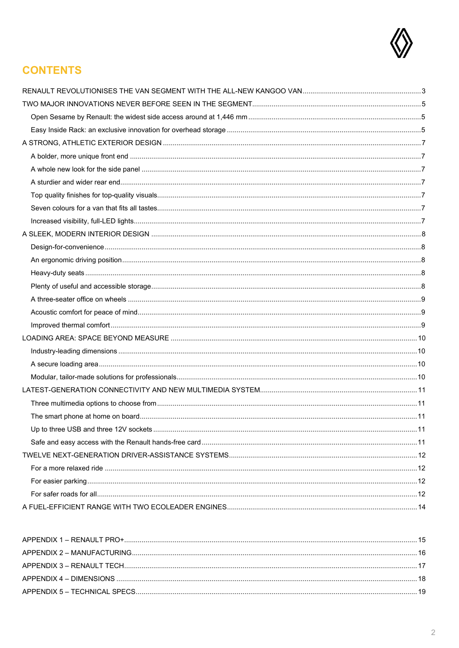

## **CONTENTS**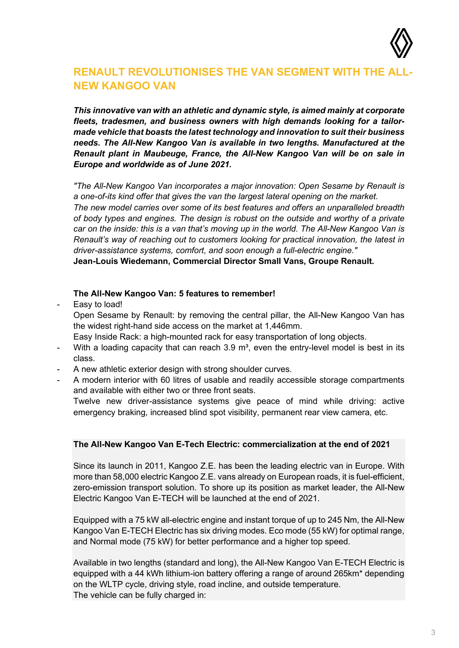

## <span id="page-2-0"></span>**RENAULT REVOLUTIONISES THE VAN SEGMENT WITH THE ALL-NEW KANGOO VAN**

*This innovative van with an athletic and dynamic style, is aimed mainly at corporate fleets, tradesmen, and business owners with high demands looking for a tailormade vehicle that boasts the latest technology and innovation to suit their business needs. The All-New Kangoo Van is available in two lengths. Manufactured at the Renault plant in Maubeuge, France, the All-New Kangoo Van will be on sale in Europe and worldwide as of June 2021.*

*"The All-New Kangoo Van incorporates a major innovation: Open Sesame by Renault is a one-of-its kind offer that gives the van the largest lateral opening on the market.*

*The new model carries over some of its best features and offers an unparalleled breadth of body types and engines. The design is robust on the outside and worthy of a private car on the inside: this is a van that's moving up in the world. The All-New Kangoo Van is Renault's way of reaching out to customers looking for practical innovation, the latest in driver-assistance systems, comfort, and soon enough a full-electric engine."*

**Jean-Louis Wiedemann, Commercial Director Small Vans, Groupe Renault.**

#### **The All-New Kangoo Van: 5 features to remember!**

Easy to load!

Open Sesame by Renault: by removing the central pillar, the All-New Kangoo Van has the widest right-hand side access on the market at 1,446mm.

Easy Inside Rack: a high-mounted rack for easy transportation of long objects.

- With a loading capacity that can reach 3.9  $\mathrm{m}^3$ , even the entry-level model is best in its class.
- A new athletic exterior design with strong shoulder curves.
- A modern interior with 60 litres of usable and readily accessible storage compartments and available with either two or three front seats.

Twelve new driver-assistance systems give peace of mind while driving: active emergency braking, increased blind spot visibility, permanent rear view camera, etc.

#### **The All-New Kangoo Van E-Tech Electric: commercialization at the end of 2021**

Since its launch in 2011, Kangoo Z.E. has been the leading electric van in Europe. With more than 58,000 electric Kangoo Z.E. vans already on European roads, it is fuel-efficient, zero-emission transport solution. To shore up its position as market leader, the All-New Electric Kangoo Van E-TECH will be launched at the end of 2021.

Equipped with a 75 kW all-electric engine and instant torque of up to 245 Nm, the All-New Kangoo Van E-TECH Electric has six driving modes. Eco mode (55 kW) for optimal range, and Normal mode (75 kW) for better performance and a higher top speed.

Available in two lengths (standard and long), the All-New Kangoo Van E-TECH Electric is equipped with a 44 kWh lithium-ion battery offering a range of around 265km\* depending on the WLTP cycle, driving style, road incline, and outside temperature. The vehicle can be fully charged in: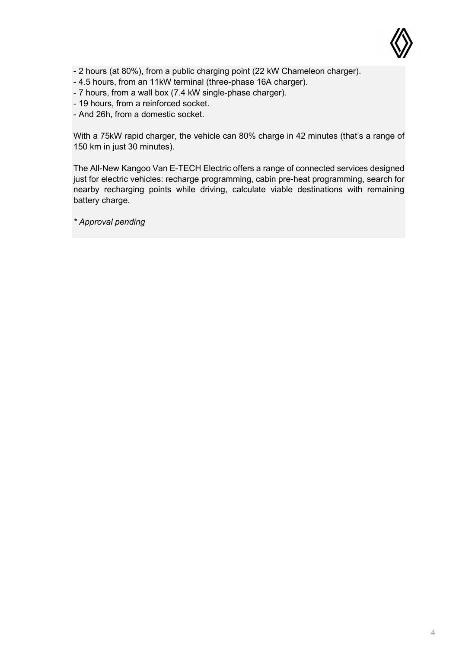

- 2 hours (at 80%), from a public charging point (22 kW Chameleon charger).
- 4.5 hours, from an 11kW terminal (three-phase 16A charger).
- 7 hours, from a wall box (7.4 kW single-phase charger).
- 19 hours, from a reinforced socket.
- And 26h, from a domestic socket.

With a 75kW rapid charger, the vehicle can 80% charge in 42 minutes (that's a range of 150 km in just 30 minutes).

The All-New Kangoo Van E-TECH Electric offers a range of connected services designed just for electric vehicles: recharge programming, cabin pre-heat programming, search for nearby recharging points while driving, calculate viable destinations with remaining battery charge.

*\* Approval pending*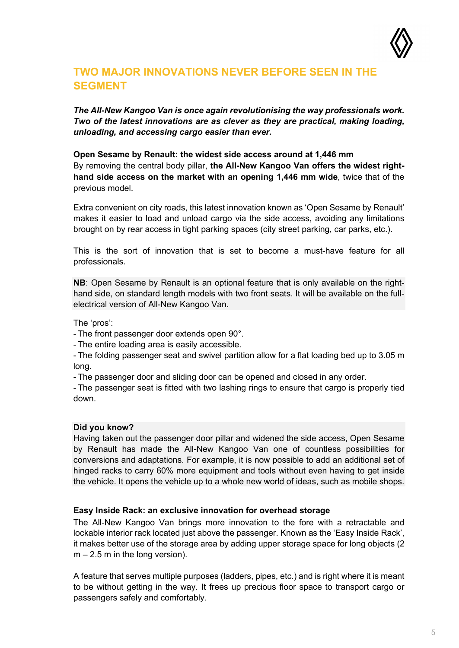

## <span id="page-4-0"></span>**TWO MAJOR INNOVATIONS NEVER BEFORE SEEN IN THE SEGMENT**

*The All-New Kangoo Van is once again revolutionising the way professionals work. Two of the latest innovations are as clever as they are practical, making loading, unloading, and accessing cargo easier than ever.*

<span id="page-4-1"></span>**Open Sesame by Renault: the widest side access around at 1,446 mm** By removing the central body pillar, **the All-New Kangoo Van offers the widest righthand side access on the market with an opening 1,446 mm wide**, twice that of the previous model.

Extra convenient on city roads, this latest innovation known as 'Open Sesame by Renault' makes it easier to load and unload cargo via the side access, avoiding any limitations brought on by rear access in tight parking spaces (city street parking, car parks, etc.).

This is the sort of innovation that is set to become a must-have feature for all professionals.

**NB**: Open Sesame by Renault is an optional feature that is only available on the righthand side, on standard length models with two front seats. It will be available on the fullelectrical version of All-New Kangoo Van.

The 'pros':

- The front passenger door extends open 90°.

- The entire loading area is easily accessible.

- The folding passenger seat and swivel partition allow for a flat loading bed up to 3.05 m long.

- The passenger door and sliding door can be opened and closed in any order.

- The passenger seat is fitted with two lashing rings to ensure that cargo is properly tied down.

#### **Did you know?**

Having taken out the passenger door pillar and widened the side access, Open Sesame by Renault has made the All-New Kangoo Van one of countless possibilities for conversions and adaptations. For example, it is now possible to add an additional set of hinged racks to carry 60% more equipment and tools without even having to get inside the vehicle. It opens the vehicle up to a whole new world of ideas, such as mobile shops.

#### <span id="page-4-2"></span>**Easy Inside Rack: an exclusive innovation for overhead storage**

The All-New Kangoo Van brings more innovation to the fore with a retractable and lockable interior rack located just above the passenger. Known as the 'Easy Inside Rack', it makes better use of the storage area by adding upper storage space for long objects (2  $m - 2.5$  m in the long version).

A feature that serves multiple purposes (ladders, pipes, etc.) and is right where it is meant to be without getting in the way. It frees up precious floor space to transport cargo or passengers safely and comfortably.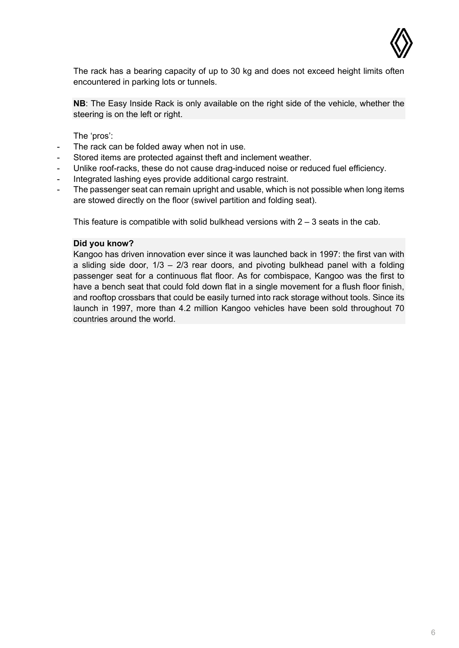

The rack has a bearing capacity of up to 30 kg and does not exceed height limits often encountered in parking lots or tunnels.

**NB**: The Easy Inside Rack is only available on the right side of the vehicle, whether the steering is on the left or right.

The 'pros':

- The rack can be folded away when not in use.
- Stored items are protected against theft and inclement weather.
- Unlike roof-racks, these do not cause drag-induced noise or reduced fuel efficiency.
- Integrated lashing eyes provide additional cargo restraint.
- The passenger seat can remain upright and usable, which is not possible when long items are stowed directly on the floor (swivel partition and folding seat).

This feature is compatible with solid bulkhead versions with  $2 - 3$  seats in the cab.

#### **Did you know?**

Kangoo has driven innovation ever since it was launched back in 1997: the first van with a sliding side door,  $1/3 - 2/3$  rear doors, and pivoting bulkhead panel with a folding passenger seat for a continuous flat floor. As for combispace, Kangoo was the first to have a bench seat that could fold down flat in a single movement for a flush floor finish, and rooftop crossbars that could be easily turned into rack storage without tools. Since its launch in 1997, more than 4.2 million Kangoo vehicles have been sold throughout 70 countries around the world.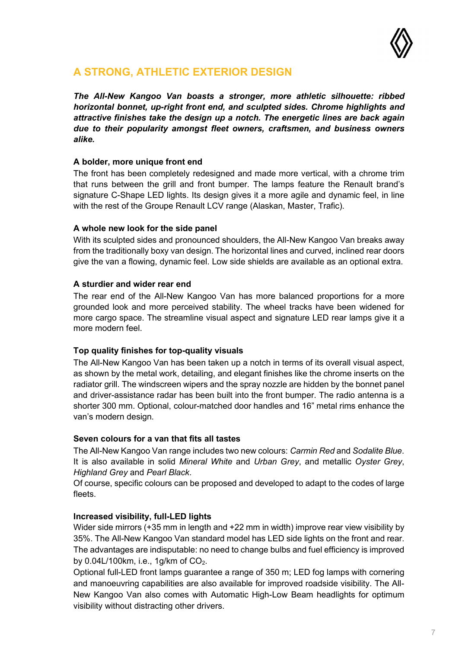

## <span id="page-6-0"></span>**A STRONG, ATHLETIC EXTERIOR DESIGN**

*The All-New Kangoo Van boasts a stronger, more athletic silhouette: ribbed horizontal bonnet, up-right front end, and sculpted sides. Chrome highlights and attractive finishes take the design up a notch. The energetic lines are back again due to their popularity amongst fleet owners, craftsmen, and business owners alike.*

#### <span id="page-6-1"></span>**A bolder, more unique front end**

The front has been completely redesigned and made more vertical, with a chrome trim that runs between the grill and front bumper. The lamps feature the Renault brand's signature C-Shape LED lights. Its design gives it a more agile and dynamic feel, in line with the rest of the Groupe Renault LCV range (Alaskan, Master, Trafic).

#### <span id="page-6-2"></span>**A whole new look for the side panel**

With its sculpted sides and pronounced shoulders, the All-New Kangoo Van breaks away from the traditionally boxy van design. The horizontal lines and curved, inclined rear doors give the van a flowing, dynamic feel. Low side shields are available as an optional extra.

#### <span id="page-6-3"></span>**A sturdier and wider rear end**

The rear end of the All-New Kangoo Van has more balanced proportions for a more grounded look and more perceived stability. The wheel tracks have been widened for more cargo space. The streamline visual aspect and signature LED rear lamps give it a more modern feel.

#### <span id="page-6-4"></span>**Top quality finishes for top-quality visuals**

The All-New Kangoo Van has been taken up a notch in terms of its overall visual aspect, as shown by the metal work, detailing, and elegant finishes like the chrome inserts on the radiator grill. The windscreen wipers and the spray nozzle are hidden by the bonnet panel and driver-assistance radar has been built into the front bumper. The radio antenna is a shorter 300 mm. Optional, colour-matched door handles and 16" metal rims enhance the van's modern design.

### <span id="page-6-5"></span>**Seven colours for a van that fits all tastes**

The All-New Kangoo Van range includes two new colours: *Carmin Red* and *Sodalite Blue*. It is also available in solid *Mineral White* and *Urban Grey*, and metallic *Oyster Grey*, *Highland Grey* and *Pearl Black*.

Of course, specific colours can be proposed and developed to adapt to the codes of large fleets.

### <span id="page-6-6"></span>**Increased visibility, full-LED lights**

Wider side mirrors (+35 mm in length and +22 mm in width) improve rear view visibility by 35%. The All-New Kangoo Van standard model has LED side lights on the front and rear. The advantages are indisputable: no need to change bulbs and fuel efficiency is improved by 0.04L/100km, i.e., 1g/km of CO<sub>2</sub>.

Optional full-LED front lamps guarantee a range of 350 m; LED fog lamps with cornering and manoeuvring capabilities are also available for improved roadside visibility. The All-New Kangoo Van also comes with Automatic High-Low Beam headlights for optimum visibility without distracting other drivers.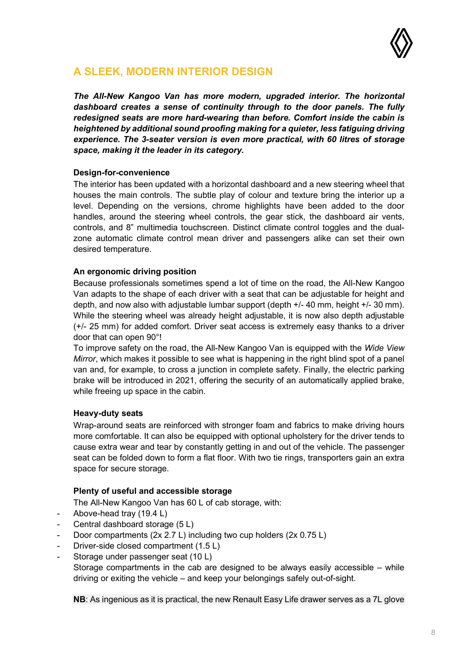

## <span id="page-7-0"></span>**A SLEEK, MODERN INTERIOR DESIGN**

*The All-New Kangoo Van has more modern, upgraded interior. The horizontal dashboard creates a sense of continuity through to the door panels. The fully redesigned seats are more hard-wearing than before. Comfort inside the cabin is heightened by additional sound proofing making for a quieter, less fatiguing driving experience. The 3-seater version is even more practical, with 60 litres of storage space, making it the leader in its category.*

#### <span id="page-7-1"></span>**Design-for-convenience**

The interior has been updated with a horizontal dashboard and a new steering wheel that houses the main controls. The subtle play of colour and texture bring the interior up a level. Depending on the versions, chrome highlights have been added to the door handles, around the steering wheel controls, the gear stick, the dashboard air vents, controls, and 8" multimedia touchscreen. Distinct climate control toggles and the dualzone automatic climate control mean driver and passengers alike can set their own desired temperature.

#### <span id="page-7-2"></span>**An ergonomic driving position**

Because professionals sometimes spend a lot of time on the road, the All-New Kangoo Van adapts to the shape of each driver with a seat that can be adjustable for height and depth, and now also with adjustable lumbar support (depth +/- 40 mm, height +/- 30 mm). While the steering wheel was already height adjustable, it is now also depth adjustable (+/- 25 mm) for added comfort. Driver seat access is extremely easy thanks to a driver door that can open 90°!

To improve safety on the road, the All-New Kangoo Van is equipped with the *Wide View Mirror*, which makes it possible to see what is happening in the right blind spot of a panel van and, for example, to cross a junction in complete safety. Finally, the electric parking brake will be introduced in 2021, offering the security of an automatically applied brake, while freeing up space in the cabin.

#### <span id="page-7-3"></span>**Heavy-duty seats**

Wrap-around seats are reinforced with stronger foam and fabrics to make driving hours more comfortable. It can also be equipped with optional upholstery for the driver tends to cause extra wear and tear by constantly getting in and out of the vehicle. The passenger seat can be folded down to form a flat floor. With two tie rings, transporters gain an extra space for secure storage.

### **Plenty of useful and accessible storage**

The All-New Kangoo Van has 60 L of cab storage, with:

- <span id="page-7-4"></span>Above-head tray (19.4 L)
- Central dashboard storage (5 L)
- Door compartments (2x 2.7 L) including two cup holders (2x 0.75 L)
- Driver-side closed compartment (1.5 L)
- Storage under passenger seat (10 L) Storage compartments in the cab are designed to be always easily accessible – while driving or exiting the vehicle – and keep your belongings safely out-of-sight.

**NB**: As ingenious as it is practical, the new Renault Easy Life drawer serves as a 7L glove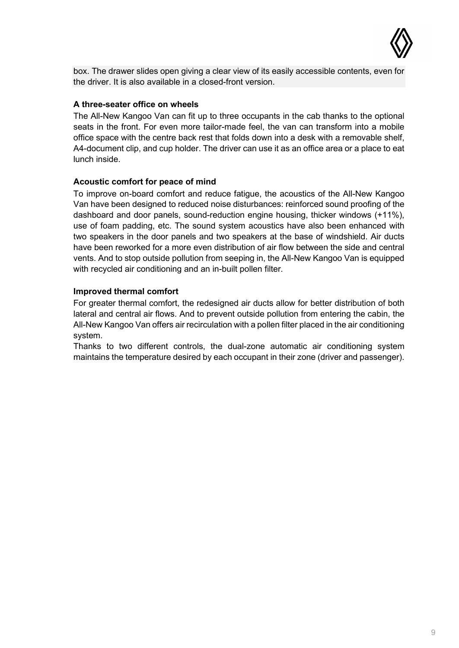

box. The drawer slides open giving a clear view of its easily accessible contents, even for the driver. It is also available in a closed-front version.

#### <span id="page-8-0"></span>**A three-seater office on wheels**

The All-New Kangoo Van can fit up to three occupants in the cab thanks to the optional seats in the front. For even more tailor-made feel, the van can transform into a mobile office space with the centre back rest that folds down into a desk with a removable shelf, A4-document clip, and cup holder. The driver can use it as an office area or a place to eat lunch inside.

#### <span id="page-8-1"></span>**Acoustic comfort for peace of mind**

To improve on-board comfort and reduce fatigue, the acoustics of the All-New Kangoo Van have been designed to reduced noise disturbances: reinforced sound proofing of the dashboard and door panels, sound-reduction engine housing, thicker windows (+11%), use of foam padding, etc. The sound system acoustics have also been enhanced with two speakers in the door panels and two speakers at the base of windshield. Air ducts have been reworked for a more even distribution of air flow between the side and central vents. And to stop outside pollution from seeping in, the All-New Kangoo Van is equipped with recycled air conditioning and an in-built pollen filter.

#### <span id="page-8-2"></span>**Improved thermal comfort**

For greater thermal comfort, the redesigned air ducts allow for better distribution of both lateral and central air flows. And to prevent outside pollution from entering the cabin, the All-New Kangoo Van offers air recirculation with a pollen filter placed in the air conditioning system.

Thanks to two different controls, the dual-zone automatic air conditioning system maintains the temperature desired by each occupant in their zone (driver and passenger).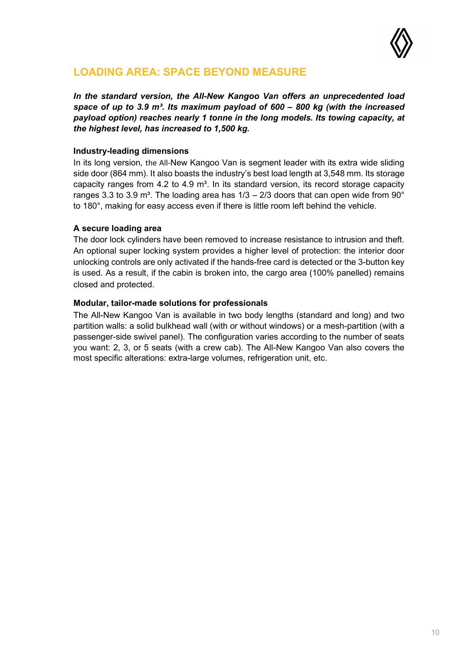

## <span id="page-9-0"></span>**LOADING AREA: SPACE BEYOND MEASURE**

*In the standard version, the All-New Kangoo Van offers an unprecedented load space of up to 3.9 m³. Its maximum payload of 600 – 800 kg (with the increased payload option) reaches nearly 1 tonne in the long models. Its towing capacity, at the highest level, has increased to 1,500 kg.* 

#### <span id="page-9-1"></span>**Industry-leading dimensions**

In its long version, the All-New Kangoo Van is segment leader with its extra wide sliding side door (864 mm). It also boasts the industry's best load length at 3,548 mm. Its storage capacity ranges from 4.2 to 4.9 m<sup>3</sup>. In its standard version, its record storage capacity ranges 3.3 to 3.9 m<sup>3</sup>. The loading area has  $1/3 - 2/3$  doors that can open wide from 90° to 180°, making for easy access even if there is little room left behind the vehicle.

#### <span id="page-9-2"></span>**A secure loading area**

The door lock cylinders have been removed to increase resistance to intrusion and theft. An optional super locking system provides a higher level of protection: the interior door unlocking controls are only activated if the hands-free card is detected or the 3-button key is used. As a result, if the cabin is broken into, the cargo area (100% panelled) remains closed and protected.

#### <span id="page-9-3"></span>**Modular, tailor-made solutions for professionals**

The All-New Kangoo Van is available in two body lengths (standard and long) and two partition walls: a solid bulkhead wall (with or without windows) or a mesh-partition (with a passenger-side swivel panel). The configuration varies according to the number of seats you want: 2, 3, or 5 seats (with a crew cab). The All-New Kangoo Van also covers the most specific alterations: extra-large volumes, refrigeration unit, etc.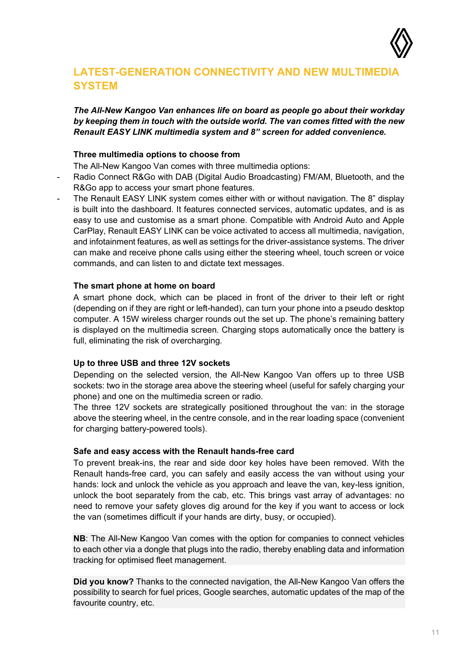

## <span id="page-10-0"></span>**LATEST-GENERATION CONNECTIVITY AND NEW MULTIMEDIA SYSTEM**

*The All-New Kangoo Van enhances life on board as people go about their workday by keeping them in touch with the outside world. The van comes fitted with the new Renault EASY LINK multimedia system and 8" screen for added convenience.*

#### **Three multimedia options to choose from**

The All-New Kangoo Van comes with three multimedia options:

- <span id="page-10-1"></span>Radio Connect R&Go with DAB (Digital Audio Broadcasting) FM/AM, Bluetooth, and the R&Go app to access your smart phone features.
- The Renault EASY LINK system comes either with or without navigation. The 8" display is built into the dashboard. It features connected services, automatic updates, and is as easy to use and customise as a smart phone. Compatible with Android Auto and Apple CarPlay, Renault EASY LINK can be voice activated to access all multimedia, navigation, and infotainment features, as well as settings for the driver-assistance systems. The driver can make and receive phone calls using either the steering wheel, touch screen or voice commands, and can listen to and dictate text messages.

#### <span id="page-10-2"></span>**The smart phone at home on board**

A smart phone dock, which can be placed in front of the driver to their left or right (depending on if they are right or left-handed), can turn your phone into a pseudo desktop computer. A 15W wireless charger rounds out the set up. The phone's remaining battery is displayed on the multimedia screen. Charging stops automatically once the battery is full, eliminating the risk of overcharging.

#### <span id="page-10-3"></span>**Up to three USB and three 12V sockets**

Depending on the selected version, the All-New Kangoo Van offers up to three USB sockets: two in the storage area above the steering wheel (useful for safely charging your phone) and one on the multimedia screen or radio.

The three 12V sockets are strategically positioned throughout the van: in the storage above the steering wheel, in the centre console, and in the rear loading space (convenient for charging battery-powered tools).

#### <span id="page-10-4"></span>**Safe and easy access with the Renault hands-free card**

To prevent break-ins, the rear and side door key holes have been removed. With the Renault hands-free card, you can safely and easily access the van without using your hands: lock and unlock the vehicle as you approach and leave the van, key-less ignition, unlock the boot separately from the cab, etc. This brings vast array of advantages: no need to remove your safety gloves dig around for the key if you want to access or lock the van (sometimes difficult if your hands are dirty, busy, or occupied).

**NB**: The All-New Kangoo Van comes with the option for companies to connect vehicles to each other via a dongle that plugs into the radio, thereby enabling data and information tracking for optimised fleet management.

**Did you know?** Thanks to the connected navigation, the All-New Kangoo Van offers the possibility to search for fuel prices, Google searches, automatic updates of the map of the favourite country, etc.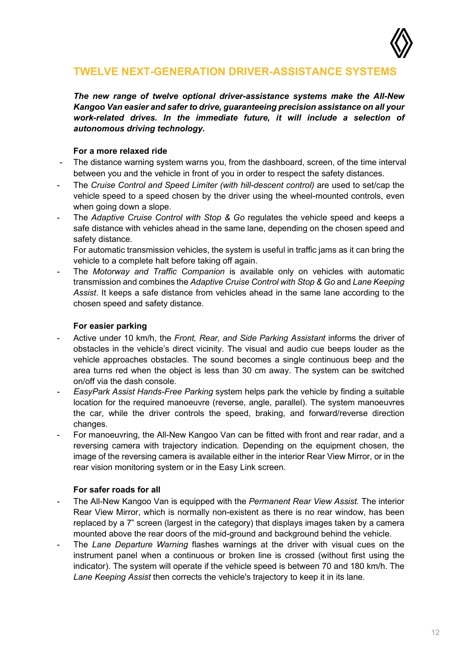

## <span id="page-11-0"></span>**TWELVE NEXT-GENERATION DRIVER-ASSISTANCE SYSTEMS**

*The new range of twelve optional driver-assistance systems make the All-New Kangoo Van easier and safer to drive, guaranteeing precision assistance on all your work-related drives. In the immediate future, it will include a selection of autonomous driving technology.*

#### **For a more relaxed ride**

- <span id="page-11-1"></span>The distance warning system warns you, from the dashboard, screen, of the time interval between you and the vehicle in front of you in order to respect the safety distances.
- The *Cruise Control and Speed Limiter (with hill-descent control)* are used to set/cap the vehicle speed to a speed chosen by the driver using the wheel-mounted controls, even when going down a slope.
- The *Adaptive Cruise Control with Stop & Go* regulates the vehicle speed and keeps a safe distance with vehicles ahead in the same lane, depending on the chosen speed and safety distance.

For automatic transmission vehicles, the system is useful in traffic jams as it can bring the vehicle to a complete halt before taking off again.

The *Motorway and Traffic Companion* is available only on vehicles with automatic transmission and combines the *Adaptive Cruise Control with Stop & Go* and *Lane Keeping Assist*. It keeps a safe distance from vehicles ahead in the same lane according to the chosen speed and safety distance.

#### **For easier parking**

- <span id="page-11-2"></span>- Active under 10 km/h, the *Front, Rear, and Side Parking Assistant* informs the driver of obstacles in the vehicle's direct vicinity. The visual and audio cue beeps louder as the vehicle approaches obstacles. The sound becomes a single continuous beep and the area turns red when the object is less than 30 cm away. The system can be switched on/off via the dash console.
- *EasyPark Assist Hands-Free Parking* system helps park the vehicle by finding a suitable location for the required manoeuvre (reverse, angle, parallel). The system manoeuvres the car, while the driver controls the speed, braking, and forward/reverse direction changes.
- For manoeuvring, the All-New Kangoo Van can be fitted with front and rear radar, and a reversing camera with trajectory indication. Depending on the equipment chosen, the image of the reversing camera is available either in the interior Rear View Mirror, or in the rear vision monitoring system or in the Easy Link screen.

#### **For safer roads for all**

- <span id="page-11-3"></span>- The All-New Kangoo Van is equipped with the *Permanent Rear View Assist.* The interior Rear View Mirror, which is normally non-existent as there is no rear window, has been replaced by a 7" screen (largest in the category) that displays images taken by a camera mounted above the rear doors of the mid-ground and background behind the vehicle.
- The *Lane Departure Warning* flashes warnings at the driver with visual cues on the instrument panel when a continuous or broken line is crossed (without first using the indicator). The system will operate if the vehicle speed is between 70 and 180 km/h. The *Lane Keeping Assist* then corrects the vehicle's trajectory to keep it in its lane.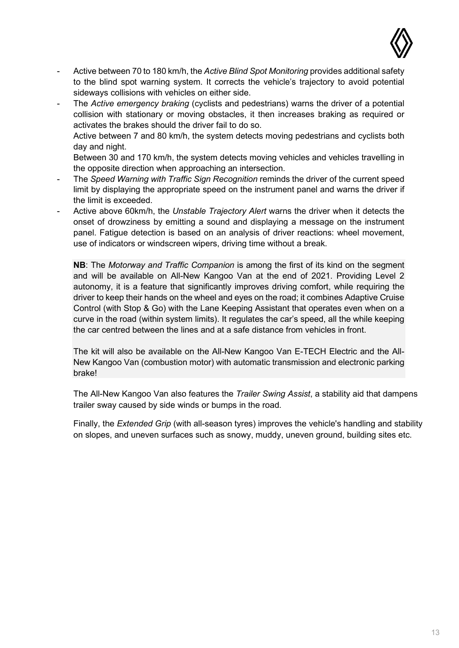

- Active between 70 to 180 km/h, the *Active Blind Spot Monitoring* provides additional safety to the blind spot warning system. It corrects the vehicle's trajectory to avoid potential sideways collisions with vehicles on either side.
- The *Active emergency braking* (cyclists and pedestrians) warns the driver of a potential collision with stationary or moving obstacles, it then increases braking as required or activates the brakes should the driver fail to do so.

Active between 7 and 80 km/h, the system detects moving pedestrians and cyclists both day and night.

Between 30 and 170 km/h, the system detects moving vehicles and vehicles travelling in the opposite direction when approaching an intersection.

- The *Speed Warning with Traffic Sign Recognition* reminds the driver of the current speed limit by displaying the appropriate speed on the instrument panel and warns the driver if the limit is exceeded.
- Active above 60km/h, the *Unstable Trajectory Alert* warns the driver when it detects the onset of drowziness by emitting a sound and displaying a message on the instrument panel. Fatigue detection is based on an analysis of driver reactions: wheel movement, use of indicators or windscreen wipers, driving time without a break.

**NB**: The *Motorway and Traffic Companion* is among the first of its kind on the segment and will be available on All-New Kangoo Van at the end of 2021. Providing Level 2 autonomy, it is a feature that significantly improves driving comfort, while requiring the driver to keep their hands on the wheel and eyes on the road; it combines Adaptive Cruise Control (with Stop & Go) with the Lane Keeping Assistant that operates even when on a curve in the road (within system limits). It regulates the car's speed, all the while keeping the car centred between the lines and at a safe distance from vehicles in front.

The kit will also be available on the All-New Kangoo Van E-TECH Electric and the All-New Kangoo Van (combustion motor) with automatic transmission and electronic parking brake!

The All-New Kangoo Van also features the *Trailer Swing Assist*, a stability aid that dampens trailer sway caused by side winds or bumps in the road.

Finally, the *Extended Grip* (with all-season tyres) improves the vehicle's handling and stability on slopes, and uneven surfaces such as snowy, muddy, uneven ground, building sites etc.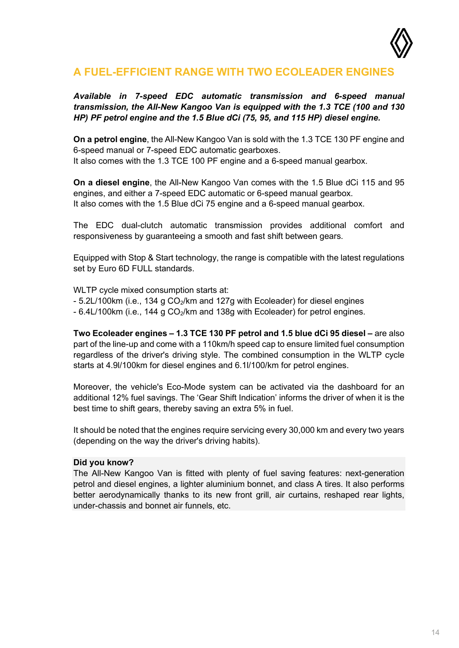

## <span id="page-13-0"></span>**A FUEL-EFFICIENT RANGE WITH TWO ECOLEADER ENGINES**

### *Available in 7-speed EDC automatic transmission and 6-speed manual transmission, the All-New Kangoo Van is equipped with the 1.3 TCE (100 and 130 HP) PF petrol engine and the 1.5 Blue dCi (75, 95, and 115 HP) diesel engine.*

**On a petrol engine**, the All-New Kangoo Van is sold with the 1.3 TCE 130 PF engine and 6-speed manual or 7-speed EDC automatic gearboxes. It also comes with the 1.3 TCE 100 PF engine and a 6-speed manual gearbox.

**On a diesel engine**, the All-New Kangoo Van comes with the 1.5 Blue dCi 115 and 95 engines, and either a 7-speed EDC automatic or 6-speed manual gearbox. It also comes with the 1.5 Blue dCi 75 engine and a 6-speed manual gearbox.

The EDC dual-clutch automatic transmission provides additional comfort and responsiveness by guaranteeing a smooth and fast shift between gears.

Equipped with Stop & Start technology, the range is compatible with the latest regulations set by Euro 6D FULL standards.

WLTP cycle mixed consumption starts at:

- $-5.2$ L/100km (i.e., 134 g CO<sub>2</sub>/km and 127g with Ecoleader) for diesel engines
- 6.4L/100km (i.e., 144 g CO<sub>2</sub>/km and 138g with Ecoleader) for petrol engines.

**Two Ecoleader engines – 1.3 TCE 130 PF petrol and 1.5 blue dCi 95 diesel –** are also part of the line-up and come with a 110km/h speed cap to ensure limited fuel consumption regardless of the driver's driving style. The combined consumption in the WLTP cycle starts at 4.9l/100km for diesel engines and 6.1l/100/km for petrol engines.

Moreover, the vehicle's Eco-Mode system can be activated via the dashboard for an additional 12% fuel savings. The 'Gear Shift Indication' informs the driver of when it is the best time to shift gears, thereby saving an extra 5% in fuel.

It should be noted that the engines require servicing every 30,000 km and every two years (depending on the way the driver's driving habits).

#### **Did you know?**

The All-New Kangoo Van is fitted with plenty of fuel saving features: next-generation petrol and diesel engines, a lighter aluminium bonnet, and class A tires. It also performs better aerodynamically thanks to its new front grill, air curtains, reshaped rear lights, under-chassis and bonnet air funnels, etc.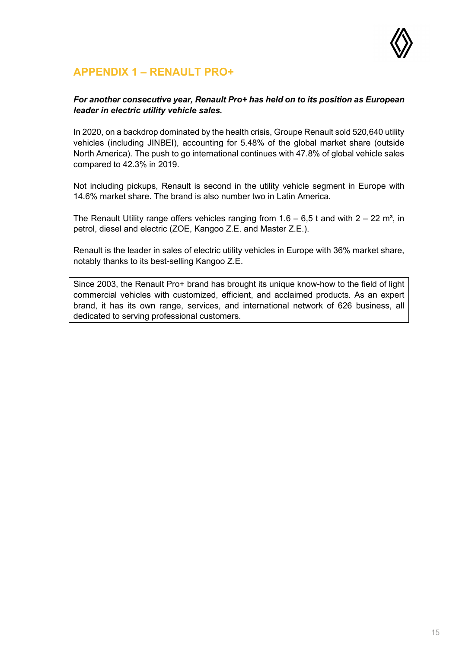

## <span id="page-14-0"></span>**APPENDIX 1 – RENAULT PRO+**

#### *For another consecutive year, Renault Pro+ has held on to its position as European leader in electric utility vehicle sales.*

In 2020, on a backdrop dominated by the health crisis, Groupe Renault sold 520,640 utility vehicles (including JINBEI), accounting for 5.48% of the global market share (outside North America). The push to go international continues with 47.8% of global vehicle sales compared to 42.3% in 2019.

Not including pickups, Renault is second in the utility vehicle segment in Europe with 14.6% market share. The brand is also number two in Latin America.

The Renault Utility range offers vehicles ranging from  $1.6 - 6.5$  t and with  $2 - 22$  m<sup>3</sup>, in petrol, diesel and electric (ZOE, Kangoo Z.E. and Master Z.E.).

Renault is the leader in sales of electric utility vehicles in Europe with 36% market share, notably thanks to its best-selling Kangoo Z.E.

Since 2003, the Renault Pro+ brand has brought its unique know-how to the field of light commercial vehicles with customized, efficient, and acclaimed products. As an expert brand, it has its own range, services, and international network of 626 business, all dedicated to serving professional customers.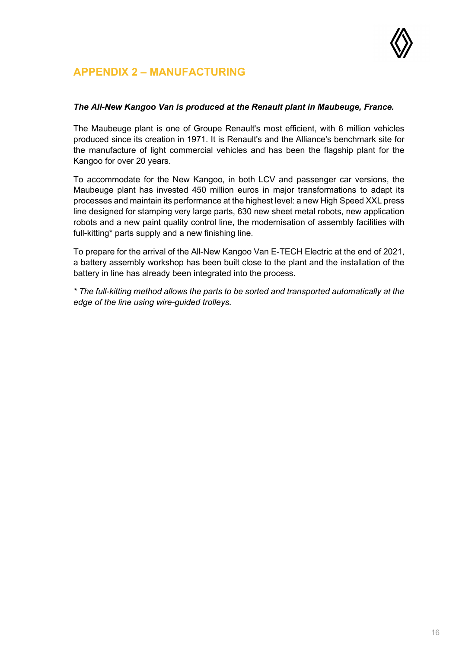

## <span id="page-15-0"></span>**APPENDIX 2 – MANUFACTURING**

#### *The All-New Kangoo Van is produced at the Renault plant in Maubeuge, France.*

The Maubeuge plant is one of Groupe Renault's most efficient, with 6 million vehicles produced since its creation in 1971. It is Renault's and the Alliance's benchmark site for the manufacture of light commercial vehicles and has been the flagship plant for the Kangoo for over 20 years.

To accommodate for the New Kangoo, in both LCV and passenger car versions, the Maubeuge plant has invested 450 million euros in major transformations to adapt its processes and maintain its performance at the highest level: a new High Speed XXL press line designed for stamping very large parts, 630 new sheet metal robots, new application robots and a new paint quality control line, the modernisation of assembly facilities with full-kitting\* parts supply and a new finishing line.

To prepare for the arrival of the All-New Kangoo Van E-TECH Electric at the end of 2021, a battery assembly workshop has been built close to the plant and the installation of the battery in line has already been integrated into the process.

*\* The full-kitting method allows the parts to be sorted and transported automatically at the edge of the line using wire-guided trolleys.*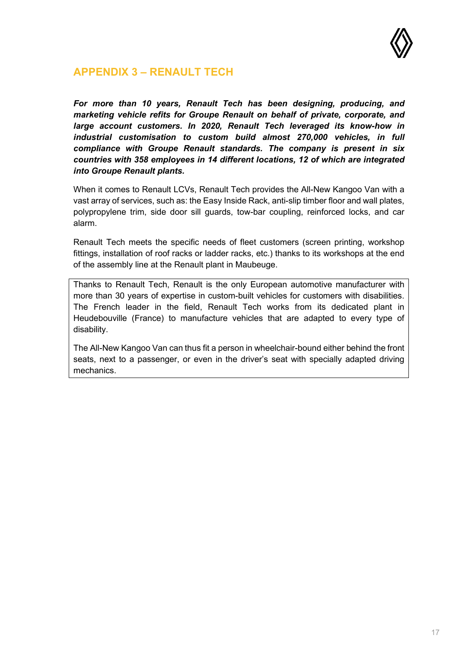

## <span id="page-16-0"></span>**APPENDIX 3 – RENAULT TECH**

*For more than 10 years, Renault Tech has been designing, producing, and marketing vehicle refits for Groupe Renault on behalf of private, corporate, and large account customers. In 2020, Renault Tech leveraged its know-how in industrial customisation to custom build almost 270,000 vehicles, in full compliance with Groupe Renault standards. The company is present in six countries with 358 employees in 14 different locations, 12 of which are integrated into Groupe Renault plants.*

When it comes to Renault LCVs, Renault Tech provides the All-New Kangoo Van with a vast array of services, such as: the Easy Inside Rack, anti-slip timber floor and wall plates, polypropylene trim, side door sill guards, tow-bar coupling, reinforced locks, and car alarm.

Renault Tech meets the specific needs of fleet customers (screen printing, workshop fittings, installation of roof racks or ladder racks, etc.) thanks to its workshops at the end of the assembly line at the Renault plant in Maubeuge.

Thanks to Renault Tech, Renault is the only European automotive manufacturer with more than 30 years of expertise in custom-built vehicles for customers with disabilities. The French leader in the field, Renault Tech works from its dedicated plant in Heudebouville (France) to manufacture vehicles that are adapted to every type of disability.

The All-New Kangoo Van can thus fit a person in wheelchair-bound either behind the front seats, next to a passenger, or even in the driver's seat with specially adapted driving mechanics.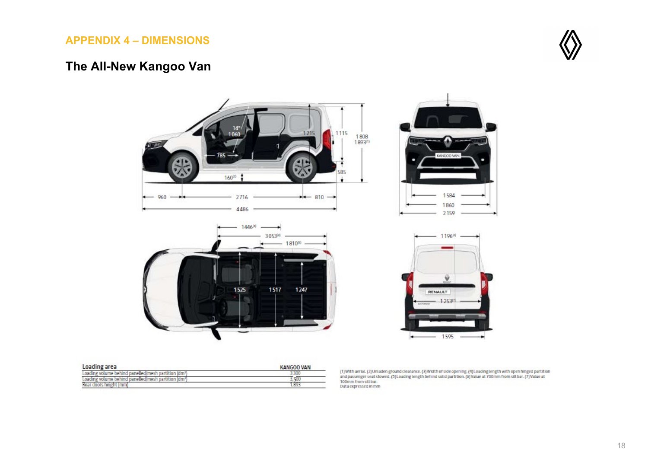## **APPENDIX 4 – DIMENSIONS**

## **The All-New Kangoo Van**



<span id="page-17-0"></span>

| Loading area                                                 | <b>KANGOO VAN</b> |  |  |
|--------------------------------------------------------------|-------------------|--|--|
| inn<br>on num<br>ldm<br>730 <sub>1</sub><br>THE VOILITIE DEL | .SU               |  |  |
| inn<br>(dim<br>ma                                            | <b>J. Ann</b>     |  |  |
| s he                                                         |                   |  |  |

(1)With aerial. (2)Unladen ground clearance. (3)Width of side opening. (4)Loading length with open hinged partition<br>and passenger seat stowed. (5)Loading length behind solid partition. (6)Value at 700mm from sill bar. (7)V